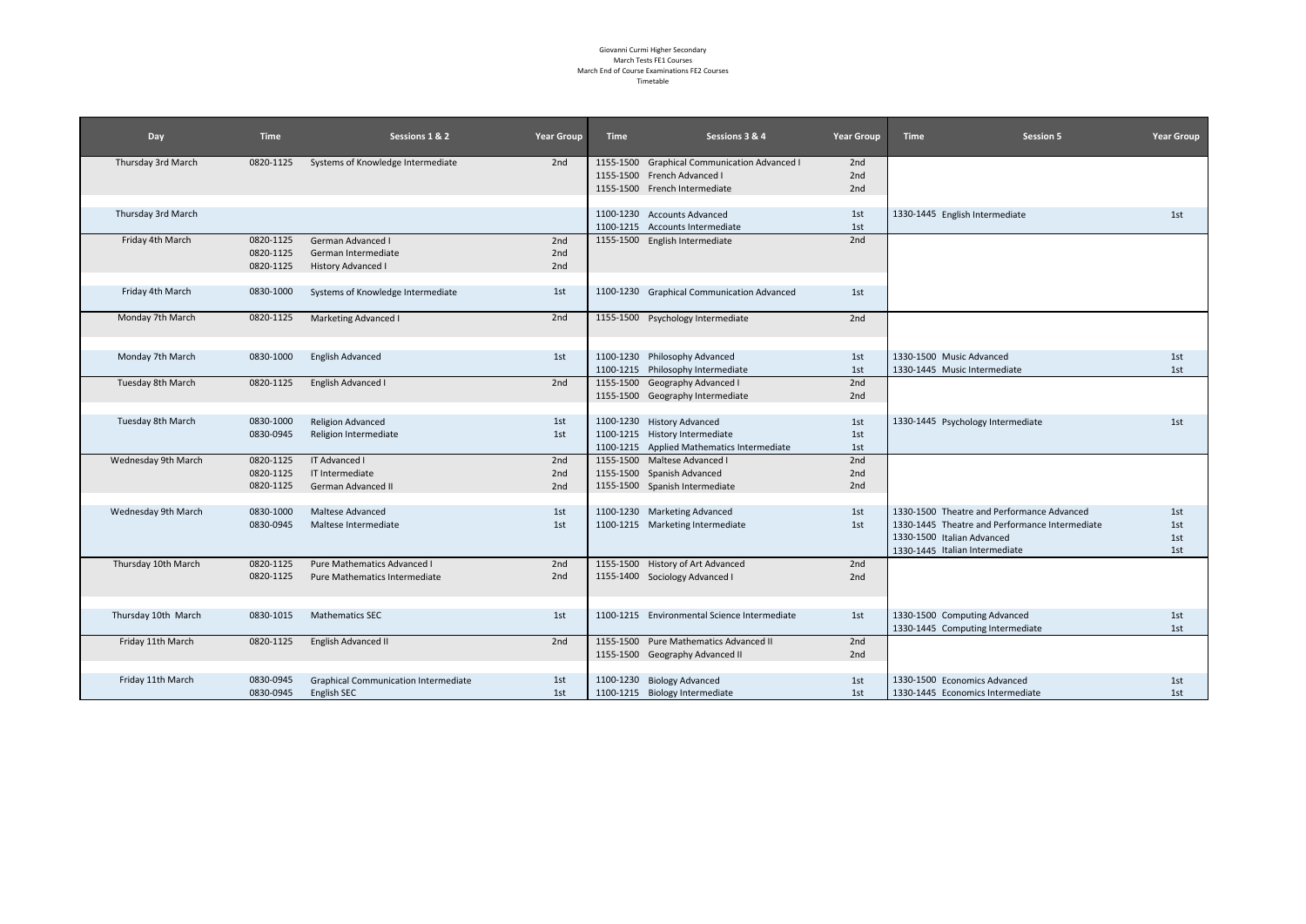#### Giovanni Curmi Higher Secondary March Tests FE1 Courses March End of Course Examinations FE2 Courses Timetable

| Day                 | <b>Time</b> | Sessions 1 & 2                                               | <b>Year Group</b> | <b>Time</b> | Sessions 3 & 4                               | <b>Year Group</b> | <b>Time</b><br><b>Session 5</b>                | <b>Year Group</b> |
|---------------------|-------------|--------------------------------------------------------------|-------------------|-------------|----------------------------------------------|-------------------|------------------------------------------------|-------------------|
| Thursday 3rd March  | 0820-1125   | Systems of Knowledge Intermediate                            | 2nd               |             | 1155-1500 Graphical Communication Advanced I | 2nd               |                                                |                   |
|                     |             |                                                              |                   |             | 1155-1500 French Advanced I                  | 2nd               |                                                |                   |
|                     |             |                                                              |                   |             | 1155-1500 French Intermediate                | 2nd               |                                                |                   |
|                     |             |                                                              |                   |             |                                              |                   |                                                |                   |
| Thursday 3rd March  |             |                                                              |                   |             | 1100-1230 Accounts Advanced                  | 1st               | 1330-1445 English Intermediate                 | 1st               |
|                     |             |                                                              |                   |             | 1100-1215 Accounts Intermediate              | 1st               |                                                |                   |
| Friday 4th March    | 0820-1125   | German Advanced I                                            | 2nd               |             | 1155-1500 English Intermediate               | 2nd               |                                                |                   |
|                     | 0820-1125   | German Intermediate                                          | 2nd<br>2nd        |             |                                              |                   |                                                |                   |
|                     | 0820-1125   | <b>History Advanced I</b>                                    |                   |             |                                              |                   |                                                |                   |
| Friday 4th March    | 0830-1000   | Systems of Knowledge Intermediate                            | 1st               |             | 1100-1230 Graphical Communication Advanced   | 1st               |                                                |                   |
| Monday 7th March    | 0820-1125   | Marketing Advanced I                                         | 2nd               |             | 1155-1500 Psychology Intermediate            | 2nd               |                                                |                   |
| Monday 7th March    | 0830-1000   | <b>English Advanced</b>                                      | 1st               |             | 1100-1230 Philosophy Advanced                | 1st               | 1330-1500 Music Advanced                       | 1st               |
|                     |             |                                                              |                   |             | 1100-1215 Philosophy Intermediate            | 1st               | 1330-1445 Music Intermediate                   | 1st               |
| Tuesday 8th March   | 0820-1125   | English Advanced I                                           | 2nd               |             | 1155-1500 Geography Advanced I               | 2nd               |                                                |                   |
|                     |             |                                                              |                   |             | 1155-1500 Geography Intermediate             | 2nd               |                                                |                   |
|                     |             |                                                              |                   |             |                                              |                   |                                                |                   |
| Tuesday 8th March   | 0830-1000   | <b>Religion Advanced</b>                                     | 1st               |             | 1100-1230 History Advanced                   | 1st               | 1330-1445 Psychology Intermediate              | 1st               |
|                     | 0830-0945   | Religion Intermediate                                        | 1st               |             | 1100-1215 History Intermediate               | 1st               |                                                |                   |
|                     |             |                                                              |                   |             | 1100-1215 Applied Mathematics Intermediate   | 1st               |                                                |                   |
| Wednesday 9th March | 0820-1125   | IT Advanced I                                                | 2nd               |             | 1155-1500 Maltese Advanced I                 | 2nd               |                                                |                   |
|                     | 0820-1125   | IT Intermediate                                              | 2nd               |             | 1155-1500 Spanish Advanced                   | 2nd               |                                                |                   |
|                     | 0820-1125   | German Advanced II                                           | 2nd               |             | 1155-1500 Spanish Intermediate               | 2nd               |                                                |                   |
|                     |             |                                                              |                   |             |                                              |                   |                                                |                   |
| Wednesday 9th March | 0830-1000   | Maltese Advanced                                             | 1st               |             | 1100-1230 Marketing Advanced                 | 1st               | 1330-1500 Theatre and Performance Advanced     | 1st               |
|                     | 0830-0945   | Maltese Intermediate                                         | 1st               |             | 1100-1215 Marketing Intermediate             | 1st               | 1330-1445 Theatre and Performance Intermediate | 1st               |
|                     |             |                                                              |                   |             |                                              |                   | 1330-1500 Italian Advanced                     | 1st               |
| Thursday 10th March | 0820-1125   |                                                              | 2nd               |             | 1155-1500 History of Art Advanced            |                   | 1330-1445 Italian Intermediate                 | 1st               |
|                     | 0820-1125   | Pure Mathematics Advanced I<br>Pure Mathematics Intermediate | 2nd               |             | 1155-1400 Sociology Advanced I               | 2nd<br>2nd        |                                                |                   |
|                     |             |                                                              |                   |             |                                              |                   |                                                |                   |
|                     |             |                                                              |                   |             |                                              |                   |                                                |                   |
| Thursday 10th March | 0830-1015   | <b>Mathematics SEC</b>                                       | 1st               |             | 1100-1215 Environmental Science Intermediate | 1st               | 1330-1500 Computing Advanced                   | 1st               |
|                     |             |                                                              |                   |             |                                              |                   | 1330-1445 Computing Intermediate               | 1st               |
| Friday 11th March   | 0820-1125   | English Advanced II                                          | 2nd               |             | 1155-1500 Pure Mathematics Advanced II       | 2nd               |                                                |                   |
|                     |             |                                                              |                   |             | 1155-1500 Geography Advanced II              | 2nd               |                                                |                   |
|                     |             |                                                              |                   |             |                                              |                   |                                                |                   |
| Friday 11th March   | 0830-0945   | <b>Graphical Communication Intermediate</b>                  | 1st               |             | 1100-1230 Biology Advanced                   | 1st               | 1330-1500 Economics Advanced                   | 1st               |
|                     | 0830-0945   | <b>English SEC</b>                                           | 1st               |             | 1100-1215 Biology Intermediate               | 1st               | 1330-1445 Economics Intermediate               | 1st               |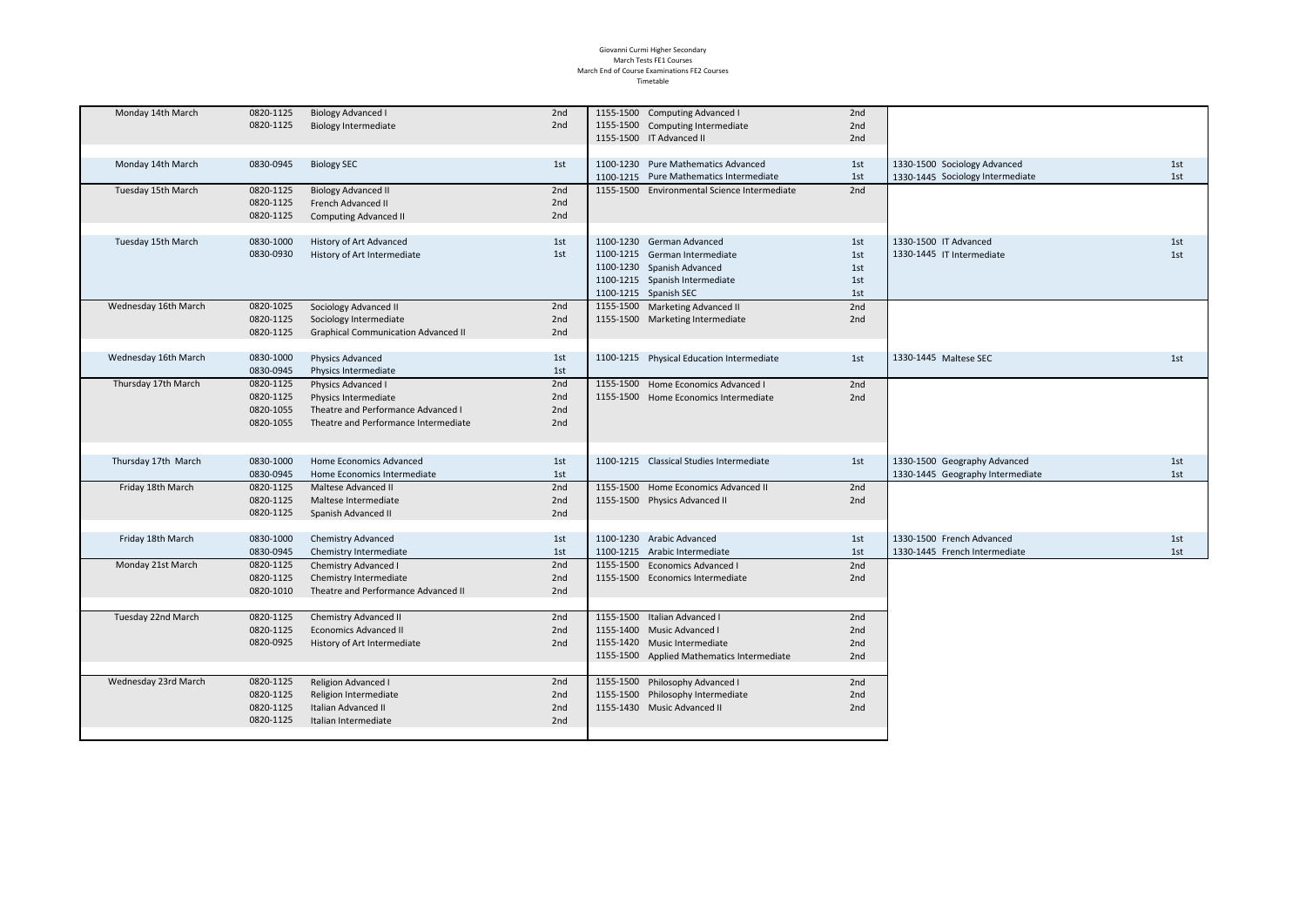### Giovanni Curmi Higher Secondary March Tests FE1 Courses March End of Course Examinations FE2 Courses Timetable

| Monday 14th March    | 0820-1125 | <b>Biology Advanced I</b>                  | 2nd | 1155-1500 Computing Advanced I               | 2nd |                                  |     |
|----------------------|-----------|--------------------------------------------|-----|----------------------------------------------|-----|----------------------------------|-----|
|                      | 0820-1125 | <b>Biology Intermediate</b>                | 2nd | 1155-1500 Computing Intermediate             | 2nd |                                  |     |
|                      |           |                                            |     | 1155-1500 IT Advanced II                     | 2nd |                                  |     |
|                      |           |                                            |     |                                              |     |                                  |     |
| Monday 14th March    | 0830-0945 | <b>Biology SEC</b>                         | 1st | 1100-1230 Pure Mathematics Advanced          | 1st | 1330-1500 Sociology Advanced     | 1st |
|                      |           |                                            |     | 1100-1215 Pure Mathematics Intermediate      | 1st | 1330-1445 Sociology Intermediate | 1st |
| Tuesday 15th March   | 0820-1125 | <b>Biology Advanced II</b>                 | 2nd | 1155-1500 Environmental Science Intermediate | 2nd |                                  |     |
|                      | 0820-1125 | French Advanced II                         | 2nd |                                              |     |                                  |     |
|                      | 0820-1125 | <b>Computing Advanced II</b>               | 2nd |                                              |     |                                  |     |
|                      |           |                                            |     |                                              |     |                                  |     |
| Tuesday 15th March   | 0830-1000 | History of Art Advanced                    | 1st | 1100-1230 German Advanced                    | 1st | 1330-1500 IT Advanced            | 1st |
|                      | 0830-0930 | History of Art Intermediate                | 1st | 1100-1215 German Intermediate                | 1st | 1330-1445 IT Intermediate        | 1st |
|                      |           |                                            |     | 1100-1230 Spanish Advanced                   | 1st |                                  |     |
|                      |           |                                            |     | 1100-1215 Spanish Intermediate               | 1st |                                  |     |
|                      |           |                                            |     | 1100-1215 Spanish SEC                        | 1st |                                  |     |
| Wednesday 16th March | 0820-1025 | Sociology Advanced II                      | 2nd | 1155-1500 Marketing Advanced II              | 2nd |                                  |     |
|                      | 0820-1125 | Sociology Intermediate                     | 2nd | 1155-1500 Marketing Intermediate             | 2nd |                                  |     |
|                      | 0820-1125 | <b>Graphical Communication Advanced II</b> | 2nd |                                              |     |                                  |     |
|                      |           |                                            |     |                                              |     |                                  |     |
| Wednesday 16th March | 0830-1000 | Physics Advanced                           | 1st | 1100-1215 Physical Education Intermediate    | 1st | 1330-1445 Maltese SEC            | 1st |
|                      |           | Physics Intermediate                       |     |                                              |     |                                  |     |
|                      | 0830-0945 |                                            | 1st |                                              |     |                                  |     |
| Thursday 17th March  | 0820-1125 | Physics Advanced I                         | 2nd | 1155-1500 Home Economics Advanced I          | 2nd |                                  |     |
|                      | 0820-1125 | Physics Intermediate                       | 2nd | 1155-1500 Home Economics Intermediate        | 2nd |                                  |     |
|                      | 0820-1055 | Theatre and Performance Advanced I         | 2nd |                                              |     |                                  |     |
|                      | 0820-1055 | Theatre and Performance Intermediate       | 2nd |                                              |     |                                  |     |
|                      |           |                                            |     |                                              |     |                                  |     |
|                      |           |                                            |     |                                              |     |                                  |     |
| Thursday 17th March  | 0830-1000 | Home Economics Advanced                    | 1st | 1100-1215 Classical Studies Intermediate     | 1st | 1330-1500 Geography Advanced     | 1st |
|                      | 0830-0945 | Home Economics Intermediate                | 1st |                                              |     | 1330-1445 Geography Intermediate | 1st |
| Friday 18th March    | 0820-1125 | Maltese Advanced II                        | 2nd | 1155-1500 Home Economics Advanced II         | 2nd |                                  |     |
|                      | 0820-1125 | Maltese Intermediate                       | 2nd | 1155-1500 Physics Advanced II                | 2nd |                                  |     |
|                      | 0820-1125 | Spanish Advanced II                        | 2nd |                                              |     |                                  |     |
|                      |           |                                            |     |                                              |     |                                  |     |
| Friday 18th March    | 0830-1000 | <b>Chemistry Advanced</b>                  | 1st | 1100-1230 Arabic Advanced                    | 1st | 1330-1500 French Advanced        | 1st |
|                      | 0830-0945 | Chemistry Intermediate                     | 1st | 1100-1215 Arabic Intermediate                | 1st | 1330-1445 French Intermediate    | 1st |
| Monday 21st March    | 0820-1125 | Chemistry Advanced I                       | 2nd | 1155-1500 Economics Advanced I               | 2nd |                                  |     |
|                      | 0820-1125 | Chemistry Intermediate                     | 2nd | 1155-1500 Economics Intermediate             | 2nd |                                  |     |
|                      | 0820-1010 | Theatre and Performance Advanced II        | 2nd |                                              |     |                                  |     |
|                      |           |                                            |     |                                              |     |                                  |     |
| Tuesday 22nd March   | 0820-1125 | Chemistry Advanced II                      | 2nd | 1155-1500 Italian Advanced I                 | 2nd |                                  |     |
|                      | 0820-1125 | <b>Economics Advanced II</b>               | 2nd | 1155-1400 Music Advanced I                   | 2nd |                                  |     |
|                      | 0820-0925 | History of Art Intermediate                | 2nd | 1155-1420 Music Intermediate                 | 2nd |                                  |     |
|                      |           |                                            |     | 1155-1500 Applied Mathematics Intermediate   | 2nd |                                  |     |
|                      |           |                                            |     |                                              |     |                                  |     |
| Wednesday 23rd March | 0820-1125 | Religion Advanced I                        | 2nd | 1155-1500 Philosophy Advanced I              | 2nd |                                  |     |
|                      | 0820-1125 | Religion Intermediate                      | 2nd | 1155-1500 Philosophy Intermediate            | 2nd |                                  |     |
|                      | 0820-1125 | Italian Advanced II                        | 2nd | 1155-1430 Music Advanced II                  | 2nd |                                  |     |
|                      | 0820-1125 | Italian Intermediate                       | 2nd |                                              |     |                                  |     |
|                      |           |                                            |     |                                              |     |                                  |     |
|                      |           |                                            |     |                                              |     |                                  |     |